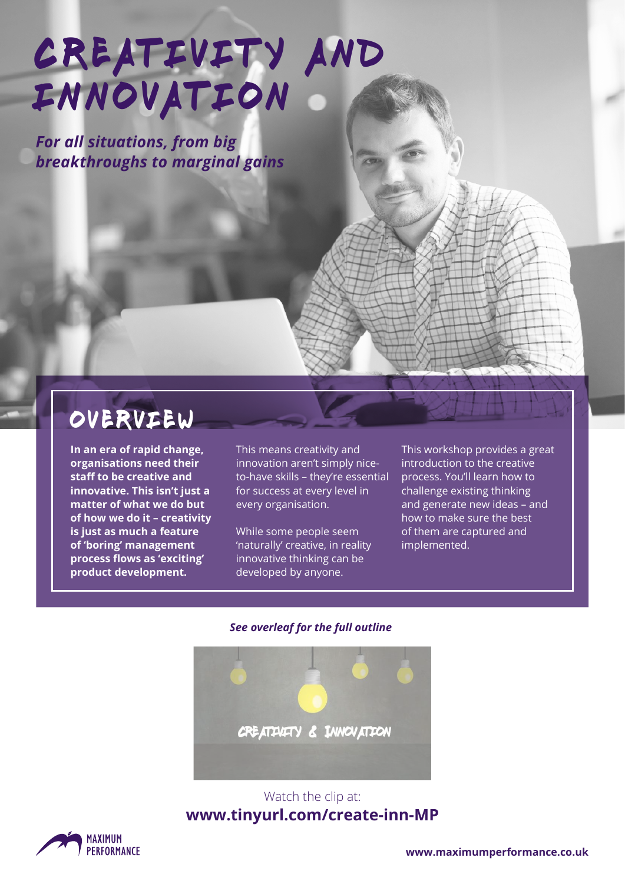# CREATIVITY AND **INNOVATION**

*For all situations, from big breakthroughs to marginal gains*

### overview

**In an era of rapid change, organisations need their staff to be creative and innovative. This isn't just a matter of what we do but of how we do it – creativity is just as much a feature of 'boring' management process flows as 'exciting' product development.** 

This means creativity and innovation aren't simply niceto-have skills – they're essential for success at every level in every organisation.

While some people seem 'naturally' creative, in reality innovative thinking can be developed by anyone.

This workshop provides a great introduction to the creative process. You'll learn how to challenge existing thinking and generate new ideas – and how to make sure the best of them are captured and implemented.

#### *See overleaf for the full outline*



#### Watch the clip at: **www.tinyurl.com/create-inn-MP**